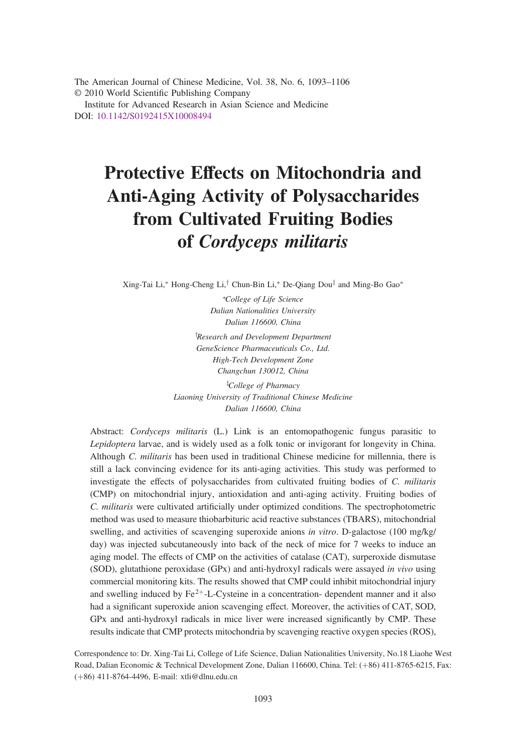The American Journal of Chinese Medicine, Vol. 38, No. 6, 1093–1106 © 2010 World Scientific Publishing Company Institute for Advanced Research in Asian Science and Medicine DOI: [10.1142/S0192415X10008494](http://dx.doi.org/10.1142/S0192415X10008494)

# Protective Effects on Mitochondria and Anti-Aging Activity of Polysaccharides from Cultivated Fruiting Bodies of Cordyceps militaris

Xing-Tai Li,\* Hong-Cheng Li,<sup>†</sup> Chun-Bin Li,\* De-Qiang Dou<sup>‡</sup> and Ming-Bo Gao\*

\*College of Life Science Dalian Nationalities University Dalian 116600, China

<sup>†</sup>Research and Development Department GeneScience Pharmaceuticals Co., Ltd. High-Tech Development Zone Changchun 130012, China

<sup>‡</sup>College of Pharmacy Liaoning University of Traditional Chinese Medicine Dalian 116600, China

Abstract: Cordyceps militaris (L.) Link is an entomopathogenic fungus parasitic to Lepidoptera larvae, and is widely used as a folk tonic or invigorant for longevity in China. Although C. militaris has been used in traditional Chinese medicine for millennia, there is still a lack convincing evidence for its anti-aging activities. This study was performed to investigate the effects of polysaccharides from cultivated fruiting bodies of C. militaris (CMP) on mitochondrial injury, antioxidation and anti-aging activity. Fruiting bodies of C. militaris were cultivated artificially under optimized conditions. The spectrophotometric method was used to measure thiobarbituric acid reactive substances (TBARS), mitochondrial swelling, and activities of scavenging superoxide anions in vitro. D-galactose (100 mg/kg/ day) was injected subcutaneously into back of the neck of mice for 7 weeks to induce an aging model. The effects of CMP on the activities of catalase (CAT), surperoxide dismutase (SOD), glutathione peroxidase (GPx) and anti-hydroxyl radicals were assayed in vivo using commercial monitoring kits. The results showed that CMP could inhibit mitochondrial injury and swelling induced by  $Fe^{2+}$ -L-Cysteine in a concentration- dependent manner and it also had a significant superoxide anion scavenging effect. Moreover, the activities of CAT, SOD, GPx and anti-hydroxyl radicals in mice liver were increased significantly by CMP. These results indicate that CMP protects mitochondria by scavenging reactive oxygen species (ROS),

Correspondence to: Dr. Xing-Tai Li, College of Life Science, Dalian Nationalities University, No.18 Liaohe West Road, Dalian Economic & Technical Development Zone, Dalian 116600, China. Tel: (+86) 411-8765-6215, Fax: (þ86) 411-8764-4496, E-mail: xtli@dlnu.edu.cn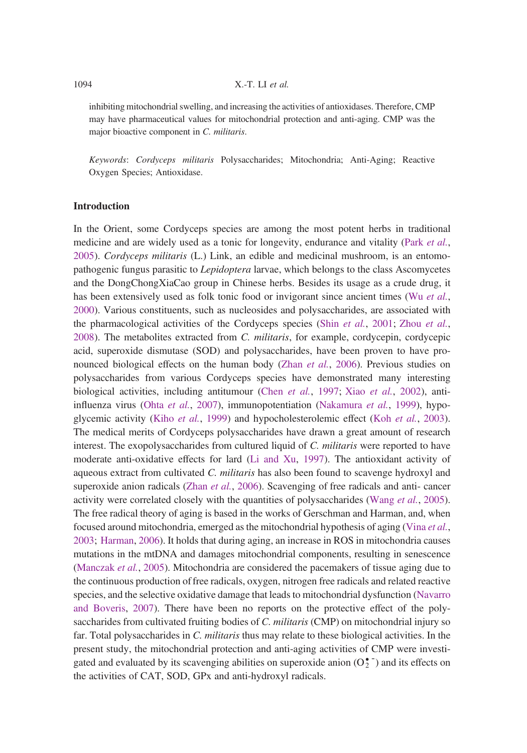#### $X.-T.$  LI et al.

inhibiting mitochondrial swelling, and increasing the activities of antioxidases. Therefore, CMP may have pharmaceutical values for mitochondrial protection and anti-aging. CMP was the major bioactive component in C. militaris.

Keywords: Cordyceps militaris Polysaccharides; Mitochondria; Anti-Aging; Reactive Oxygen Species; Antioxidase.

#### Introduction

In the Orient, some Cordyceps species are among the most potent herbs in traditional medicine and are widely used as a tonic for longevity, endurance and vitality (Park et al., 2005). Cordyceps militaris (L.) Link, an edible and medicinal mushroom, is an entomopathogenic fungus parasitic to Lepidoptera larvae, which belongs to the class Ascomycetes and the DongChongXiaCao group in Chinese herbs. Besides its usage as a crude drug, it has been extensively used as folk tonic food or invigorant since ancient times (Wu et al., 2000). Various constituents, such as nucleosides and polysaccharides, are associated with the pharmacological activities of the Cordyceps species (Shin et al., 2001; Zhou et al., 2008). The metabolites extracted from C. militaris, for example, cordycepin, cordycepic acid, superoxide dismutase (SOD) and polysaccharides, have been proven to have pronounced biological effects on the human body (Zhan et al., 2006). Previous studies on polysaccharides from various Cordyceps species have demonstrated many interesting biological activities, including antitumour (Chen et al., 1997; Xiao et al., 2002), antiinfluenza virus (Ohta et al., 2007), immunopotentiation (Nakamura et al., 1999), hypoglycemic activity (Kiho et al., 1999) and hypocholesterolemic effect (Koh et al., 2003). The medical merits of Cordyceps polysaccharides have drawn a great amount of research interest. The exopolysaccharides from cultured liquid of C. militaris were reported to have moderate anti-oxidative effects for lard (Li and Xu, 1997). The antioxidant activity of aqueous extract from cultivated C. militaris has also been found to scavenge hydroxyl and superoxide anion radicals (Zhan et al., 2006). Scavenging of free radicals and anti- cancer activity were correlated closely with the quantities of polysaccharides (Wang et al., 2005). The free radical theory of aging is based in the works of Gerschman and Harman, and, when focused around mitochondria, emerged as the mitochondrial hypothesis of aging (Vina et al., 2003; Harman, 2006). It holds that during aging, an increase in ROS in mitochondria causes mutations in the mtDNA and damages mitochondrial components, resulting in senescence (Manczak *et al.*, 2005). Mitochondria are considered the pacemakers of tissue aging due to the continuous production of free radicals, oxygen, nitrogen free radicals and related reactive species, and the selective oxidative damage that leads to mitochondrial dysfunction (Navarro and Boveris, 2007). There have been no reports on the protective effect of the polysaccharides from cultivated fruiting bodies of C. militaris (CMP) on mitochondrial injury so far. Total polysaccharides in C. militaris thus may relate to these biological activities. In the present study, the mitochondrial protection and anti-aging activities of CMP were investigated and evaluated by its scavenging abilities on superoxide anion  $(O_2^{\bullet})$  and its effects on the activities of CAT, SOD, GPx and anti-hydroxyl radicals.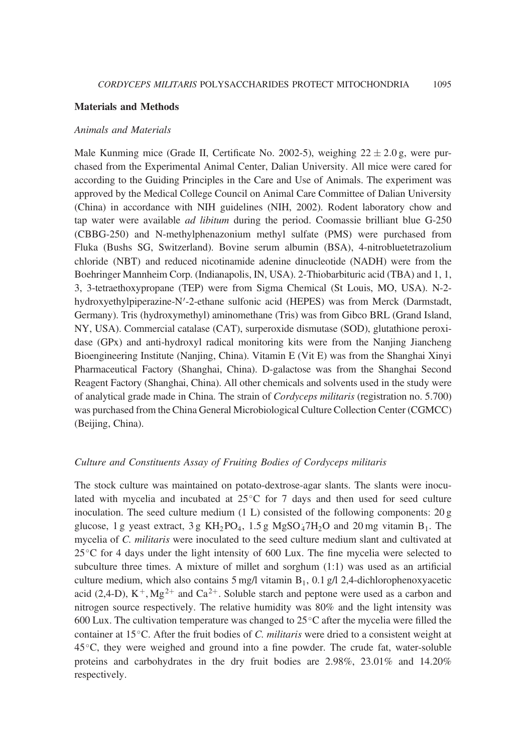#### Materials and Methods

#### Animals and Materials

Male Kunming mice (Grade II, Certificate No. 2002-5), weighing  $22 \pm 2.0$  g, were purchased from the Experimental Animal Center, Dalian University. All mice were cared for according to the Guiding Principles in the Care and Use of Animals. The experiment was approved by the Medical College Council on Animal Care Committee of Dalian University (China) in accordance with NIH guidelines (NIH, 2002). Rodent laboratory chow and tap water were available ad libitum during the period. Coomassie brilliant blue G-250 (CBBG-250) and N-methylphenazonium methyl sulfate (PMS) were purchased from Fluka (Bushs SG, Switzerland). Bovine serum albumin (BSA), 4-nitrobluetetrazolium chloride (NBT) and reduced nicotinamide adenine dinucleotide (NADH) were from the Boehringer Mannheim Corp. (Indianapolis, IN, USA). 2-Thiobarbituric acid (TBA) and 1, 1, 3, 3-tetraethoxypropane (TEP) were from Sigma Chemical (St Louis, MO, USA). N-2 hydroxyethylpiperazine-N'-2-ethane sulfonic acid (HEPES) was from Merck (Darmstadt, Germany). Tris (hydroxymethyl) aminomethane (Tris) was from Gibco BRL (Grand Island, NY, USA). Commercial catalase (CAT), surperoxide dismutase (SOD), glutathione peroxidase (GPx) and anti-hydroxyl radical monitoring kits were from the Nanjing Jiancheng Bioengineering Institute (Nanjing, China). Vitamin E (Vit E) was from the Shanghai Xinyi Pharmaceutical Factory (Shanghai, China). D-galactose was from the Shanghai Second Reagent Factory (Shanghai, China). All other chemicals and solvents used in the study were of analytical grade made in China. The strain of Cordyceps militaris (registration no. 5.700) was purchased from the China General Microbiological Culture Collection Center (CGMCC) (Beijing, China).

#### Culture and Constituents Assay of Fruiting Bodies of Cordyceps militaris

The stock culture was maintained on potato-dextrose-agar slants. The slants were inoculated with mycelia and incubated at  $25^{\circ}$ C for 7 days and then used for seed culture inoculation. The seed culture medium  $(1 L)$  consisted of the following components: 20 g glucose, 1 g yeast extract, 3 g  $KH_2PO_4$ , 1.5 g  $MgSO_47H_2O$  and 20 mg vitamin  $B_1$ . The mycelia of C. militaris were inoculated to the seed culture medium slant and cultivated at  $25^{\circ}$ C for 4 days under the light intensity of 600 Lux. The fine mycelia were selected to subculture three times. A mixture of millet and sorghum (1:1) was used as an artificial culture medium, which also contains  $5 \text{ mg/l}$  vitamin  $B_1$ , 0.1 g/l 2,4-dichlorophenoxyacetic acid (2,4-D),  $K^+$ , Mg<sup>2+</sup> and Ca<sup>2+</sup>. Soluble starch and peptone were used as a carbon and nitrogen source respectively. The relative humidity was 80% and the light intensity was 600 Lux. The cultivation temperature was changed to  $25^{\circ}$ C after the mycelia were filled the container at  $15^{\circ}$ C. After the fruit bodies of *C. militaris* were dried to a consistent weight at  $45^{\circ}$ C, they were weighed and ground into a fine powder. The crude fat, water-soluble proteins and carbohydrates in the dry fruit bodies are 2.98%, 23.01% and 14.20% respectively.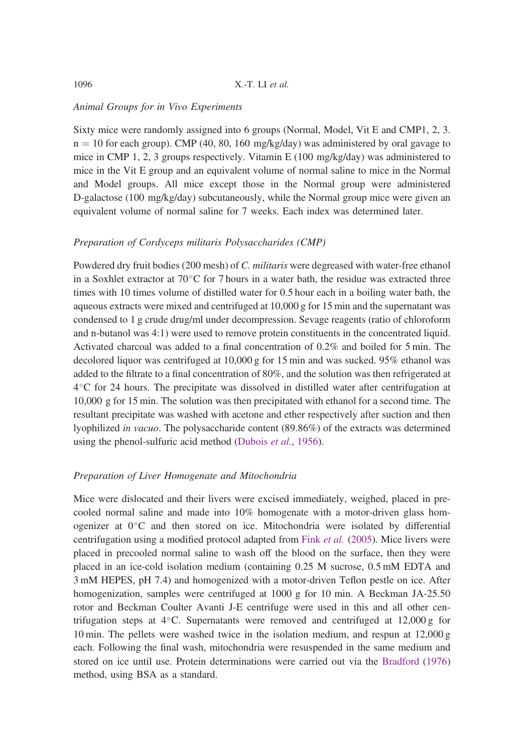#### Animal Groups for in Vivo Experiments

Sixty mice were randomly assigned into 6 groups (Normal, Model, Vit E and CMP1, 2, 3.  $n = 10$  for each group). CMP (40, 80, 160 mg/kg/day) was administered by oral gavage to mice in CMP 1, 2, 3 groups respectively. Vitamin E (100 mg/kg/day) was administered to mice in the Vit E group and an equivalent volume of normal saline to mice in the Normal and Model groups. All mice except those in the Normal group were administered D-galactose (100 mg/kg/day) subcutaneously, while the Normal group mice were given an equivalent volume of normal saline for 7 weeks. Each index was determined later.

#### Preparation of Cordyceps militaris Polysaccharides (CMP)

Powdered dry fruit bodies (200 mesh) of C. militaris were degreased with water-free ethanol in a Soxhlet extractor at  $70^{\circ}$ C for 7 hours in a water bath, the residue was extracted three times with 10 times volume of distilled water for 0.5 hour each in a boiling water bath, the aqueous extracts were mixed and centrifuged at 10,000 g for 15 min and the supernatant was condensed to 1 g crude drug/ml under decompression. Sevage reagents (ratio of chloroform and n-butanol was 4:1) were used to remove protein constituents in the concentrated liquid. Activated charcoal was added to a final concentration of 0.2% and boiled for 5 min. The decolored liquor was centrifuged at 10,000 g for 15 min and was sucked. 95% ethanol was added to the filtrate to a final concentration of 80%, and the solution was then refrigerated at  $4^{\circ}$ C for 24 hours. The precipitate was dissolved in distilled water after centrifugation at 10,000 g for 15 min. The solution was then precipitated with ethanol for a second time. The resultant precipitate was washed with acetone and ether respectively after suction and then lyophilized in vacuo. The polysaccharide content (89.86%) of the extracts was determined using the phenol-sulfuric acid method (Dubois et al., 1956).

# Preparation of Liver Homogenate and Mitochondria

Mice were dislocated and their livers were excised immediately, weighed, placed in precooled normal saline and made into 10% homogenate with a motor-driven glass homogenizer at  $0^{\circ}$ C and then stored on ice. Mitochondria were isolated by differential centrifugation using a modified protocol adapted from Fink et al. (2005). Mice livers were placed in precooled normal saline to wash off the blood on the surface, then they were placed in an ice-cold isolation medium (containing 0.25 M sucrose, 0.5 mM EDTA and 3 mM HEPES, pH 7.4) and homogenized with a motor-driven Teflon pestle on ice. After homogenization, samples were centrifuged at 1000 g for 10 min. A Beckman JA-25.50 rotor and Beckman Coulter Avanti J-E centrifuge were used in this and all other centrifugation steps at  $4^{\circ}$ C. Supernatants were removed and centrifuged at 12,000 g for 10 min. The pellets were washed twice in the isolation medium, and respun at 12,000 g each. Following the final wash, mitochondria were resuspended in the same medium and stored on ice until use. Protein determinations were carried out via the Bradford (1976) method, using BSA as a standard.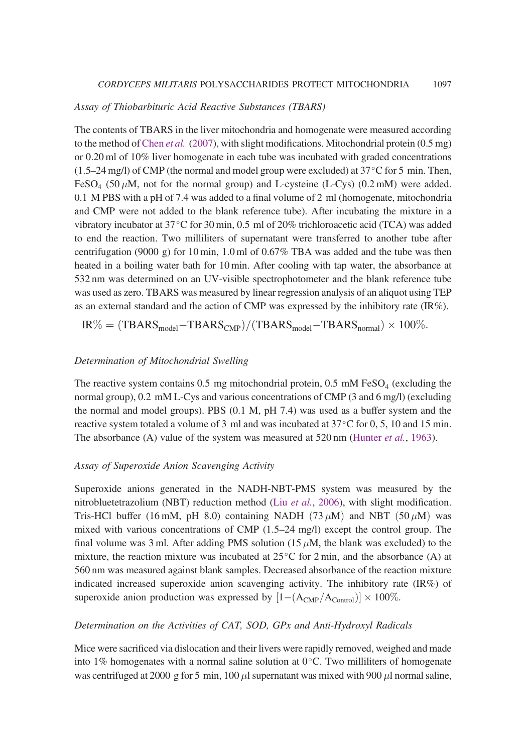#### Assay of Thiobarbituric Acid Reactive Substances (TBARS)

The contents of TBARS in the liver mitochondria and homogenate were measured according to the method of Chen *et al.* (2007), with slight modifications. Mitochondrial protein  $(0.5 \text{ mg})$ or 0.20 ml of 10% liver homogenate in each tube was incubated with graded concentrations  $(1.5-24 \text{ mg/l})$  of CMP (the normal and model group were excluded) at  $37^{\circ}$ C for 5 min. Then,  $FESO<sub>4</sub>$  (50  $\mu$ M, not for the normal group) and L-cysteine (L-Cys) (0.2 mM) were added. 0.1 M PBS with a pH of 7.4 was added to a final volume of 2 ml (homogenate, mitochondria and CMP were not added to the blank reference tube). After incubating the mixture in a vibratory incubator at  $37^{\circ}$ C for 30 min, 0.5 ml of 20% trichloroacetic acid (TCA) was added to end the reaction. Two milliliters of supernatant were transferred to another tube after centrifugation (9000 g) for 10 min, 1.0 ml of  $0.67\%$  TBA was added and the tube was then heated in a boiling water bath for 10 min. After cooling with tap water, the absorbance at 532 nm was determined on an UV-visible spectrophotometer and the blank reference tube was used as zero. TBARS was measured by linear regression analysis of an aliquot using TEP as an external standard and the action of CMP was expressed by the inhibitory rate  $(IR\%)$ .

$$
IR\% = (TBARS_{model} - TBARS_{CMP})/(TBARS_{model} - TBARS_{normal}) \times 100\%.
$$

#### Determination of Mitochondrial Swelling

The reactive system contains 0.5 mg mitochondrial protein, 0.5 mM FeSO<sub>4</sub> (excluding the normal group), 0.2 mM L-Cys and various concentrations of CMP (3 and 6 mg/l) (excluding the normal and model groups). PBS (0.1 M, pH 7.4) was used as a buffer system and the reactive system totaled a volume of 3 ml and was incubated at  $37^{\circ}$ C for 0, 5, 10 and 15 min. The absorbance (A) value of the system was measured at 520 nm (Hunter *et al.*, 1963).

# Assay of Superoxide Anion Scavenging Activity

Superoxide anions generated in the NADH-NBT-PMS system was measured by the nitrobluetetrazolium (NBT) reduction method (Liu et al., 2006), with slight modification. Tris-HCl buffer (16 mM, pH 8.0) containing NADH (73  $\mu$ M) and NBT (50  $\mu$ M) was mixed with various concentrations of CMP (1.5–24 mg/l) except the control group. The final volume was 3 ml. After adding PMS solution (15  $\mu$ M, the blank was excluded) to the mixture, the reaction mixture was incubated at  $25^{\circ}$ C for 2 min, and the absorbance (A) at 560 nm was measured against blank samples. Decreased absorbance of the reaction mixture indicated increased superoxide anion scavenging activity. The inhibitory rate (IR%) of superoxide anion production was expressed by  $[1-(A_{\text{CMP}}/A_{\text{Control}})] \times 100\%$ .

#### Determination on the Activities of CAT, SOD, GPx and Anti-Hydroxyl Radicals

Mice were sacrificed via dislocation and their livers were rapidly removed, weighed and made into 1% homogenates with a normal saline solution at  $0^{\circ}$ C. Two milliliters of homogenate was centrifuged at 2000 g for 5 min, 100  $\mu$ l supernatant was mixed with 900  $\mu$ l normal saline,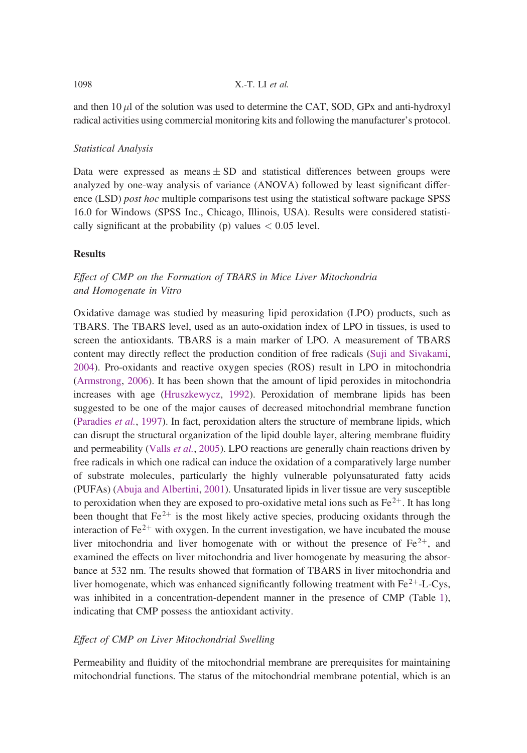and then  $10 \mu l$  of the solution was used to determine the CAT, SOD, GPx and anti-hydroxyl radical activities using commercial monitoring kits and following the manufacturer's protocol.

# Statistical Analysis

Data were expressed as means  $\pm$  SD and statistical differences between groups were analyzed by one-way analysis of variance (ANOVA) followed by least significant difference (LSD) post hoc multiple comparisons test using the statistical software package SPSS 16.0 for Windows (SPSS Inc., Chicago, Illinois, USA). Results were considered statistically significant at the probability (p) values  $< 0.05$  level.

# **Results**

# Effect of CMP on the Formation of TBARS in Mice Liver Mitochondria and Homogenate in Vitro

Oxidative damage was studied by measuring lipid peroxidation (LPO) products, such as TBARS. The TBARS level, used as an auto-oxidation index of LPO in tissues, is used to screen the antioxidants. TBARS is a main marker of LPO. A measurement of TBARS content may directly reflect the production condition of free radicals (Suji and Sivakami, 2004). Pro-oxidants and reactive oxygen species (ROS) result in LPO in mitochondria (Armstrong, 2006). It has been shown that the amount of lipid peroxides in mitochondria increases with age (Hruszkewycz, 1992). Peroxidation of membrane lipids has been suggested to be one of the major causes of decreased mitochondrial membrane function (Paradies et al., 1997). In fact, peroxidation alters the structure of membrane lipids, which can disrupt the structural organization of the lipid double layer, altering membrane fluidity and permeability (Valls *et al.*, 2005). LPO reactions are generally chain reactions driven by free radicals in which one radical can induce the oxidation of a comparatively large number of substrate molecules, particularly the highly vulnerable polyunsaturated fatty acids (PUFAs) (Abuja and Albertini, 2001). Unsaturated lipids in liver tissue are very susceptible to peroxidation when they are exposed to pro-oxidative metal ions such as  $Fe<sup>2+</sup>$ . It has long been thought that  $Fe^{2+}$  is the most likely active species, producing oxidants through the interaction of  $Fe^{2+}$  with oxygen. In the current investigation, we have incubated the mouse liver mitochondria and liver homogenate with or without the presence of  $Fe^{2+}$ , and examined the effects on liver mitochondria and liver homogenate by measuring the absorbance at 532 nm. The results showed that formation of TBARS in liver mitochondria and liver homogenate, which was enhanced significantly following treatment with  $Fe^{2+}$ -L-Cys, was inhibited in a concentration-dependent manner in the presence of CMP (Table 1), indicating that CMP possess the antioxidant activity.

# Effect of CMP on Liver Mitochondrial Swelling

Permeability and fluidity of the mitochondrial membrane are prerequisites for maintaining mitochondrial functions. The status of the mitochondrial membrane potential, which is an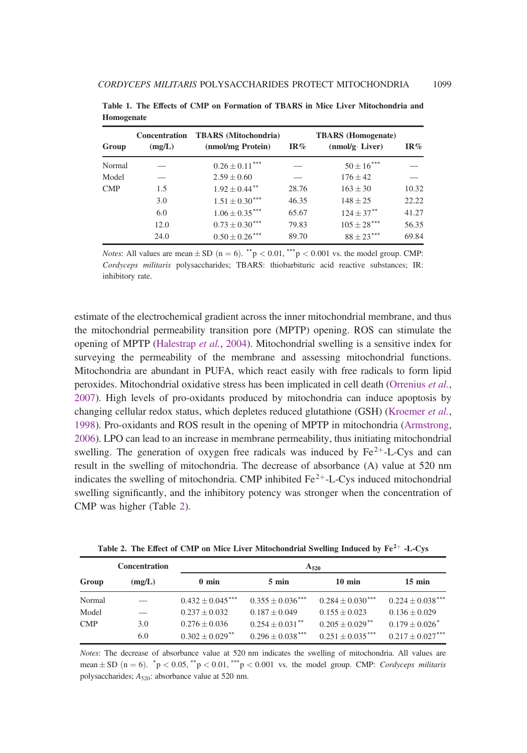| Group      | <b>Concentration</b><br>(mg/L) | <b>TBARS</b> (Mitochondria)<br>(nmol/mg Protein) | IR%   | <b>TBARS</b> (Homogenate)<br>$(nmol/g \cdot Liver)$ | IR%   |
|------------|--------------------------------|--------------------------------------------------|-------|-----------------------------------------------------|-------|
| Normal     |                                | $0.26 \pm 0.11***$                               |       | $50 \pm 16***$                                      |       |
| Model      |                                | $2.59 \pm 0.60$                                  |       | $176 \pm 42$                                        |       |
| <b>CMP</b> | 1.5                            | $1.92 \pm 0.44$ <sup>**</sup>                    | 28.76 | $163 \pm 30$                                        | 10.32 |
|            | 3.0                            | $1.51 \pm 0.30***$                               | 46.35 | $148 \pm 25$                                        | 22.22 |
|            | 6.0                            | $1.06 \pm 0.35***$                               | 65.67 | $124 \pm 37$ **                                     | 41.27 |
|            | 12.0                           | $0.73 \pm 0.30***$                               | 79.83 | $105 \pm 28$ ***                                    | 56.35 |
|            | 24.0                           | $0.50 \pm 0.26***$                               | 89.70 | $88 \pm 23***$                                      | 69.84 |

Table 1. The Effects of CMP on Formation of TBARS in Mice Liver Mitochondria and Homogenate

*Notes*: All values are mean  $\pm$  SD (n = 6). \*\*p < 0.01, \*\*\*p < 0.001 vs. the model group. CMP: Cordyceps militaris polysaccharides; TBARS: thiobarbituric acid reactive substances; IR: inhibitory rate.

estimate of the electrochemical gradient across the inner mitochondrial membrane, and thus the mitochondrial permeability transition pore (MPTP) opening. ROS can stimulate the opening of MPTP (Halestrap et al., 2004). Mitochondrial swelling is a sensitive index for surveying the permeability of the membrane and assessing mitochondrial functions. Mitochondria are abundant in PUFA, which react easily with free radicals to form lipid peroxides. Mitochondrial oxidative stress has been implicated in cell death (Orrenius et al., 2007). High levels of pro-oxidants produced by mitochondria can induce apoptosis by changing cellular redox status, which depletes reduced glutathione (GSH) (Kroemer et al., 1998). Pro-oxidants and ROS result in the opening of MPTP in mitochondria (Armstrong, 2006). LPO can lead to an increase in membrane permeability, thus initiating mitochondrial swelling. The generation of oxygen free radicals was induced by  $Fe^{2+}$ -L-Cys and can result in the swelling of mitochondria. The decrease of absorbance (A) value at 520 nm indicates the swelling of mitochondria. CMP inhibited  $Fe^{2+}$ -L-Cys induced mitochondrial swelling significantly, and the inhibitory potency was stronger when the concentration of CMP was higher (Table 2).

|            | <b>Concentration</b> | $A_{520}$                     |                               |                               |                              |
|------------|----------------------|-------------------------------|-------------------------------|-------------------------------|------------------------------|
| Group      | (mg/L)               | $0 \text{ min}$               | $5 \text{ min}$               | $10 \text{ min}$              | $15 \text{ min}$             |
| Normal     |                      | $0.432 + 0.045***$            | $0.355 + 0.036***$            | $0.284 + 0.030***$            | $0.224 \pm 0.038$ ***        |
| Model      |                      | $0.237 + 0.032$               | $0.187 \pm 0.049$             | $0.155 + 0.023$               | $0.136 \pm 0.029$            |
| <b>CMP</b> | 3.0                  | $0.276 + 0.036$               | $0.254 + 0.031$ <sup>**</sup> | $0.205 + 0.029$ <sup>**</sup> | $0.179 + 0.026$ <sup>*</sup> |
|            | 6.0                  | $0.302 + 0.029$ <sup>**</sup> | $0.296 + 0.038***$            | $0.251 + 0.035***$            | $0.217 \pm 0.027$ ***        |

Table 2. The Effect of CMP on Mice Liver Mitochondrial Swelling Induced by  $Fe^{2+}$  -L-Cys

Notes: The decrease of absorbance value at 520 nm indicates the swelling of mitochondria. All values are mean  $\pm$  SD (n = 6).  $^*p$  < 0.05,  $^*p$  < 0.01,  $^{***}p$  < 0.001 vs. the model group. CMP: Cordyceps militaris polysaccharides;  $A_{520}$ : absorbance value at 520 nm.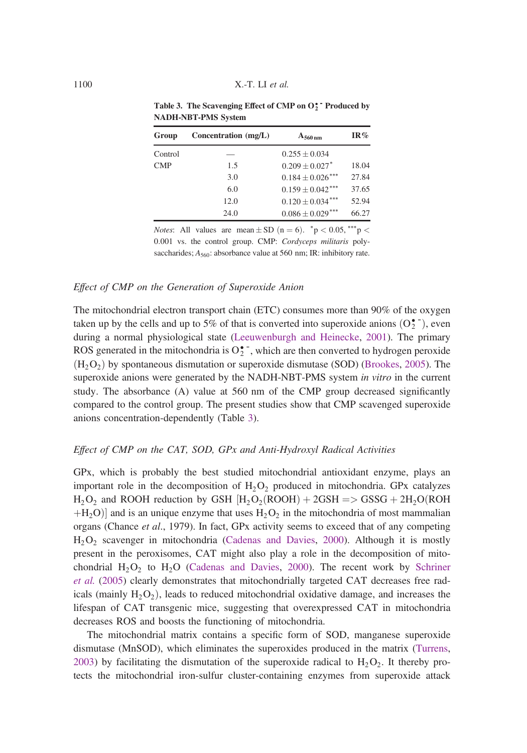| Group   | Concentration $(mg/L)$ | $A_{560\,nm}$                  | IR%   |
|---------|------------------------|--------------------------------|-------|
| Control |                        | $0.255 \pm 0.034$              |       |
| CMP     | 1.5                    | $0.209 \pm 0.027$ <sup>*</sup> | 18.04 |
|         | 3.0                    | $0.184 + 0.026$ ***            | 27.84 |
|         | 6.0                    | $0.159 \pm 0.042$ ***          | 37.65 |
|         | 12.0                   | $0.120 + 0.034***$             | 52.94 |
|         | 24.0                   | $0.086 \pm 0.029$ ***          | 66.27 |

Table 3. The Scavenging Effect of CMP on  $O_2^*$  Produced by NADH-NBT-PMS System

*Notes*: All values are mean  $\pm$  SD (n = 6). \*p < 0.05, \*\*\*p < 0:001 vs. the control group. CMP: Cordyceps militaris polysaccharides;  $A_{560}$ : absorbance value at 560 nm; IR: inhibitory rate.

#### Effect of CMP on the Generation of Superoxide Anion

The mitochondrial electron transport chain (ETC) consumes more than 90% of the oxygen taken up by the cells and up to 5% of that is converted into superoxide anions  $(O_2^{\bullet})$ , even during a normal physiological state (Leeuwenburgh and Heinecke, 2001). The primary ROS generated in the mitochondria is  $O_2^{\bullet}$ , which are then converted to hydrogen peroxide  $(H<sub>2</sub>O<sub>2</sub>)$  by spontaneous dismutation or superoxide dismutase (SOD) (Brookes, 2005). The superoxide anions were generated by the NADH-NBT-PMS system in vitro in the current study. The absorbance (A) value at 560 nm of the CMP group decreased significantly compared to the control group. The present studies show that CMP scavenged superoxide anions concentration-dependently (Table 3).

#### Effect of CMP on the CAT, SOD, GPx and Anti-Hydroxyl Radical Activities

GPx, which is probably the best studied mitochondrial antioxidant enzyme, plays an important role in the decomposition of  $H_2O_2$  produced in mitochondria. GPx catalyzes  $H_2O_2$  and ROOH reduction by GSH  $[H_2O_2(ROOH) + 2GSH = > GSSG + 2H_2O(ROH)$  $H_2O$  and is an unique enzyme that uses  $H_2O_2$  in the mitochondria of most mammalian organs (Chance et al., 1979). In fact, GPx activity seems to exceed that of any competing  $H<sub>2</sub>O<sub>2</sub>$  scavenger in mitochondria (Cadenas and Davies, 2000). Although it is mostly present in the peroxisomes, CAT might also play a role in the decomposition of mitochondrial  $H_2O_2$  to  $H_2O$  (Cadenas and Davies, 2000). The recent work by Schriner et al. (2005) clearly demonstrates that mitochondrially targeted CAT decreases free radicals (mainly  $H_2O_2$ ), leads to reduced mitochondrial oxidative damage, and increases the lifespan of CAT transgenic mice, suggesting that overexpressed CAT in mitochondria decreases ROS and boosts the functioning of mitochondria.

The mitochondrial matrix contains a specific form of SOD, manganese superoxide dismutase (MnSOD), which eliminates the superoxides produced in the matrix (Turrens, 2003) by facilitating the dismutation of the superoxide radical to  $H_2O_2$ . It thereby protects the mitochondrial iron-sulfur cluster-containing enzymes from superoxide attack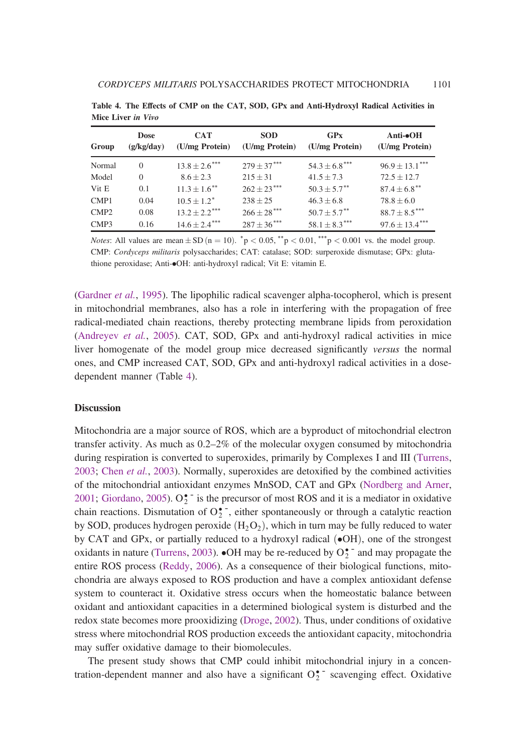| Group            | <b>Dose</b><br>(g/kg/day) | <b>CAT</b><br>(U/mg Protein)  | <b>SOD</b><br>(U/mg Protein) | GPx<br>(U/mg Protein)         | Anti- $\bullet$ OH<br>(U/mg Protein) |
|------------------|---------------------------|-------------------------------|------------------------------|-------------------------------|--------------------------------------|
| Normal           | $\Omega$                  | $13.8 \pm 2.6$ ***            | $279 + 37***$                | $54.3 \pm 6.8$ <sup>***</sup> | $96.9 \pm 13.1***$                   |
| Model            | $\Omega$                  | $8.6 \pm 2.3$                 | $215 \pm 31$                 | $41.5 \pm 7.3$                | $72.5 \pm 12.7$                      |
| Vit E            | 0.1                       | $11.3 + 1.6$ <sup>**</sup>    | $262 \pm 23$ ***             | $50.3 \pm 5.7$ <sup>**</sup>  | $87.4 \pm 6.8***$                    |
| CMP1             | 0.04                      | $10.5 + 1.2^*$                | $238 + 25$                   | $46.3 \pm 6.8$                | $78.8 + 6.0$                         |
| CMP <sub>2</sub> | 0.08                      | $13.2 \pm 2.2$ <sup>***</sup> | $266 \pm 28$ ***             | $50.7 + 5.7$ <sup>**</sup>    | $88.7 \pm 8.5***$                    |
| CMP3             | 0.16                      | $14.6 \pm 2.4***$             | $287 \pm 36$ ***             | $58.1 \pm 8.3***$             | $97.6 \pm 13.4***$                   |

Table 4. The Effects of CMP on the CAT, SOD, GPx and Anti-Hydroxyl Radical Activities in Mice Liver in Vivo

*Notes*: All values are mean  $\pm$  SD (n = 10).  ${}^*p$  < 0.05,  ${}^{**p}$  < 0.01,  ${}^{***p}$  < 0.001 vs. the model group. CMP: Cordyceps militaris polysaccharides; CAT: catalase; SOD: surperoxide dismutase; GPx: glutathione peroxidase; Anti- $\bullet$ OH: anti-hydroxyl radical; Vit E: vitamin E.

(Gardner et al., 1995). The lipophilic radical scavenger alpha-tocopherol, which is present in mitochondrial membranes, also has a role in interfering with the propagation of free radical-mediated chain reactions, thereby protecting membrane lipids from peroxidation (Andreyev et al., 2005). CAT, SOD, GPx and anti-hydroxyl radical activities in mice liver homogenate of the model group mice decreased significantly versus the normal ones, and CMP increased CAT, SOD, GPx and anti-hydroxyl radical activities in a dosedependent manner (Table 4).

#### **Discussion**

Mitochondria are a major source of ROS, which are a byproduct of mitochondrial electron transfer activity. As much as 0.2–2% of the molecular oxygen consumed by mitochondria during respiration is converted to superoxides, primarily by Complexes I and III (Turrens, 2003; Chen et al., 2003). Normally, superoxides are detoxified by the combined activities of the mitochondrial antioxidant enzymes MnSOD, CAT and GPx (Nordberg and Arner, 2001; Giordano, 2005).  $O_2^{\bullet}$  is the precursor of most ROS and it is a mediator in oxidative chain reactions. Dismutation of  $O_2^{\bullet^-}$ , either spontaneously or through a catalytic reaction by SOD, produces hydrogen peroxide  $(H_2O_2)$ , which in turn may be fully reduced to water by CAT and GPx, or partially reduced to a hydroxyl radical  $(\bullet$ OH), one of the strongest oxidants in nature (Turrens, 2003).  $\bullet$ OH may be re-reduced by  $O_2^{\bullet -}$  and may propagate the entire ROS process (Reddy, 2006). As a consequence of their biological functions, mitochondria are always exposed to ROS production and have a complex antioxidant defense system to counteract it. Oxidative stress occurs when the homeostatic balance between oxidant and antioxidant capacities in a determined biological system is disturbed and the redox state becomes more prooxidizing (Droge, 2002). Thus, under conditions of oxidative stress where mitochondrial ROS production exceeds the antioxidant capacity, mitochondria may suffer oxidative damage to their biomolecules.

The present study shows that CMP could inhibit mitochondrial injury in a concentration-dependent manner and also have a significant  $O_2^{\bullet-}$  scavenging effect. Oxidative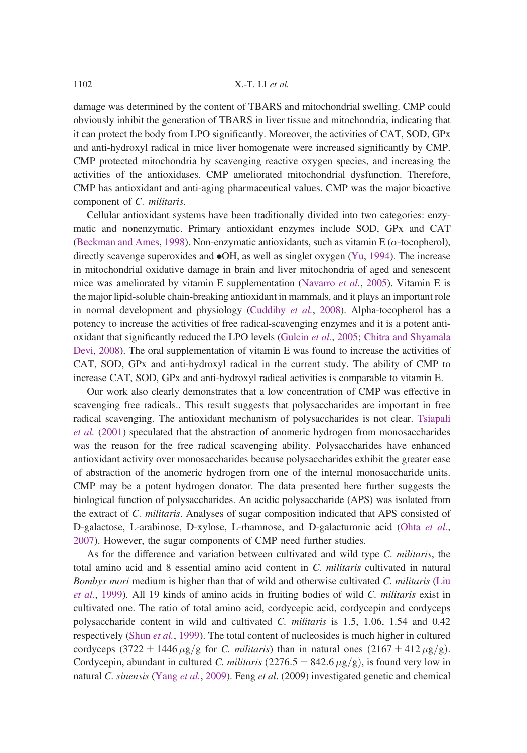damage was determined by the content of TBARS and mitochondrial swelling. CMP could obviously inhibit the generation of TBARS in liver tissue and mitochondria, indicating that it can protect the body from LPO significantly. Moreover, the activities of CAT, SOD, GPx and anti-hydroxyl radical in mice liver homogenate were increased significantly by CMP. CMP protected mitochondria by scavenging reactive oxygen species, and increasing the activities of the antioxidases. CMP ameliorated mitochondrial dysfunction. Therefore, CMP has antioxidant and anti-aging pharmaceutical values. CMP was the major bioactive component of C. militaris.

Cellular antioxidant systems have been traditionally divided into two categories: enzymatic and nonenzymatic. Primary antioxidant enzymes include SOD, GPx and CAT (Beckman and Ames, 1998). Non-enzymatic antioxidants, such as vitamin E ( $\alpha$ -tocopherol), directly scavenge superoxides and  $\bullet$ OH, as well as singlet oxygen (Yu, 1994). The increase in mitochondrial oxidative damage in brain and liver mitochondria of aged and senescent mice was ameliorated by vitamin E supplementation (Navarro et al., 2005). Vitamin E is the major lipid-soluble chain-breaking antioxidant in mammals, and it plays an important role in normal development and physiology (Cuddihy et al., 2008). Alpha-tocopherol has a potency to increase the activities of free radical-scavenging enzymes and it is a potent antioxidant that significantly reduced the LPO levels (Gulcin et al., 2005; Chitra and Shyamala Devi, 2008). The oral supplementation of vitamin E was found to increase the activities of CAT, SOD, GPx and anti-hydroxyl radical in the current study. The ability of CMP to increase CAT, SOD, GPx and anti-hydroxyl radical activities is comparable to vitamin E.

Our work also clearly demonstrates that a low concentration of CMP was effective in scavenging free radicals.. This result suggests that polysaccharides are important in free radical scavenging. The antioxidant mechanism of polysaccharides is not clear. Tsiapali et al. (2001) speculated that the abstraction of anomeric hydrogen from monosaccharides was the reason for the free radical scavenging ability. Polysaccharides have enhanced antioxidant activity over monosaccharides because polysaccharides exhibit the greater ease of abstraction of the anomeric hydrogen from one of the internal monosaccharide units. CMP may be a potent hydrogen donator. The data presented here further suggests the biological function of polysaccharides. An acidic polysaccharide (APS) was isolated from the extract of C. militaris. Analyses of sugar composition indicated that APS consisted of D-galactose, L-arabinose, D-xylose, L-rhamnose, and D-galacturonic acid (Ohta et al., 2007). However, the sugar components of CMP need further studies.

As for the difference and variation between cultivated and wild type C. militaris, the total amino acid and 8 essential amino acid content in C. militaris cultivated in natural Bombyx mori medium is higher than that of wild and otherwise cultivated C. militaris (Liu et al., 1999). All 19 kinds of amino acids in fruiting bodies of wild C. militaris exist in cultivated one. The ratio of total amino acid, cordycepic acid, cordycepin and cordyceps polysaccharide content in wild and cultivated C. militaris is 1.5, 1.06, 1.54 and 0.42 respectively (Shun et al., 1999). The total content of nucleosides is much higher in cultured cordyceps  $(3722 \pm 1446 \,\mu g/g)$  for *C. militaris*) than in natural ones  $(2167 \pm 412 \,\mu g/g)$ . Cordycepin, abundant in cultured *C. militaris*  $(2276.5 \pm 842.6 \,\mu$ g/g), is found very low in natural C. sinensis (Yang et al., 2009). Feng et al. (2009) investigated genetic and chemical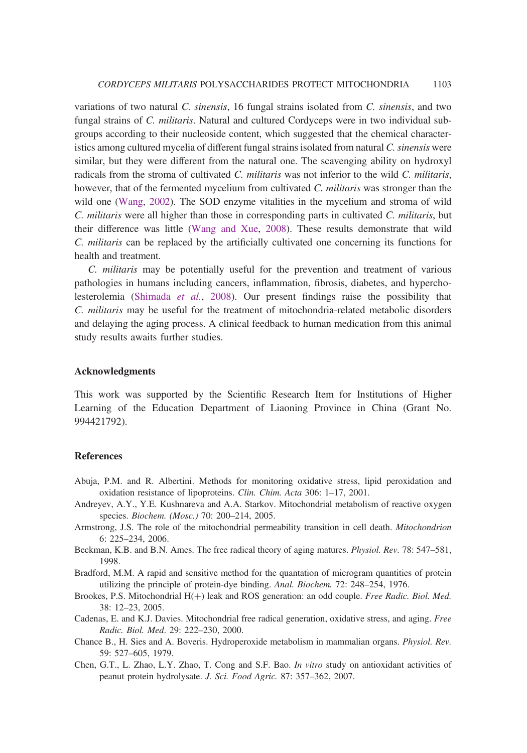variations of two natural C. sinensis, 16 fungal strains isolated from C. sinensis, and two fungal strains of C. militaris. Natural and cultured Cordyceps were in two individual subgroups according to their nucleoside content, which suggested that the chemical characteristics among cultured mycelia of different fungal strains isolated from natural C. sinensis were similar, but they were different from the natural one. The scavenging ability on hydroxyl radicals from the stroma of cultivated C. militaris was not inferior to the wild C. militaris, however, that of the fermented mycelium from cultivated C. militaris was stronger than the wild one (Wang, 2002). The SOD enzyme vitalities in the mycelium and stroma of wild C. militaris were all higher than those in corresponding parts in cultivated C. militaris, but their difference was little (Wang and Xue, 2008). These results demonstrate that wild C. militaris can be replaced by the artificially cultivated one concerning its functions for health and treatment.

C. militaris may be potentially useful for the prevention and treatment of various pathologies in humans including cancers, inflammation, fibrosis, diabetes, and hypercholesterolemia (Shimada et al., 2008). Our present findings raise the possibility that C. militaris may be useful for the treatment of mitochondria-related metabolic disorders and delaying the aging process. A clinical feedback to human medication from this animal study results awaits further studies.

#### Acknowledgments

This work was supported by the Scientific Research Item for Institutions of Higher Learning of the Education Department of Liaoning Province in China (Grant No. 994421792).

#### References

- Abuja, P.M. and R. Albertini. Methods for monitoring oxidative stress, lipid peroxidation and oxidation resistance of lipoproteins. Clin. Chim. Acta 306: 1–17, 2001.
- Andreyev, A.Y., Y.E. Kushnareva and A.A. Starkov. Mitochondrial metabolism of reactive oxygen species. Biochem. (Mosc.) 70: 200–214, 2005.
- Armstrong, J.S. The role of the mitochondrial permeability transition in cell death. Mitochondrion 6: 225–234, 2006.
- Beckman, K.B. and B.N. Ames. The free radical theory of aging matures. Physiol. Rev. 78: 547–581, 1998.
- Bradford, M.M. A rapid and sensitive method for the quantation of microgram quantities of protein utilizing the principle of protein-dye binding. Anal. Biochem. 72: 248–254, 1976.
- Brookes, P.S. Mitochondrial H(+) leak and ROS generation: an odd couple. Free Radic. Biol. Med. 38: 12–23, 2005.
- Cadenas, E. and K.J. Davies. Mitochondrial free radical generation, oxidative stress, and aging. Free Radic. Biol. Med. 29: 222–230, 2000.
- Chance B., H. Sies and A. Boveris. Hydroperoxide metabolism in mammalian organs. Physiol. Rev. 59: 527–605, 1979.
- Chen, G.T., L. Zhao, L.Y. Zhao, T. Cong and S.F. Bao. In vitro study on antioxidant activities of peanut protein hydrolysate. J. Sci. Food Agric. 87: 357–362, 2007.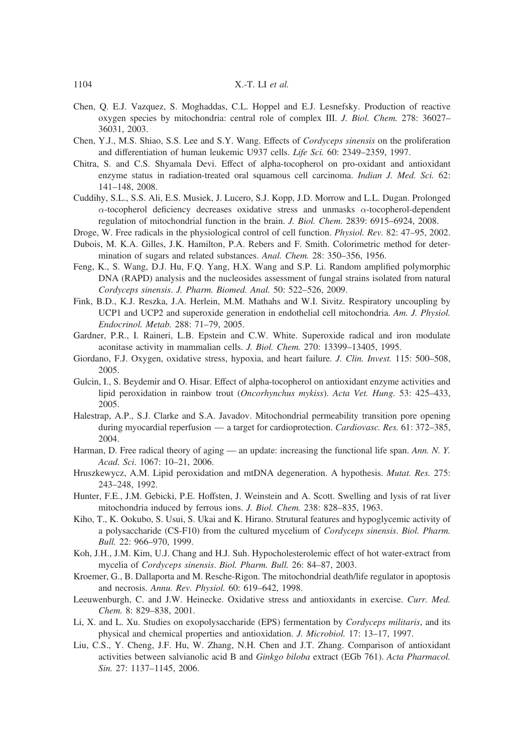- Chen, Q. E.J. Vazquez, S. Moghaddas, C.L. Hoppel and E.J. Lesnefsky. Production of reactive oxygen species by mitochondria: central role of complex III. J. Biol. Chem. 278: 36027– 36031, 2003.
- Chen, Y.J., M.S. Shiao, S.S. Lee and S.Y. Wang. Effects of Cordyceps sinensis on the proliferation and differentiation of human leukemic U937 cells. Life Sci. 60: 2349–2359, 1997.
- Chitra, S. and C.S. Shyamala Devi. Effect of alpha-tocopherol on pro-oxidant and antioxidant enzyme status in radiation-treated oral squamous cell carcinoma. *Indian J. Med. Sci.* 62: 141–148, 2008.
- Cuddihy, S.L., S.S. Ali, E.S. Musiek, J. Lucero, S.J. Kopp, J.D. Morrow and L.L. Dugan. Prolonged  $\alpha$ -tocopherol deficiency decreases oxidative stress and unmasks  $\alpha$ -tocopherol-dependent regulation of mitochondrial function in the brain. J. Biol. Chem. 2839: 6915–6924, 2008.
- Droge, W. Free radicals in the physiological control of cell function. Physiol. Rev. 82: 47–95, 2002.
- Dubois, M. K.A. Gilles, J.K. Hamilton, P.A. Rebers and F. Smith. Colorimetric method for determination of sugars and related substances. Anal. Chem. 28: 350–356, 1956.
- Feng, K., S. Wang, D.J. Hu, F.Q. Yang, H.X. Wang and S.P. Li. Random amplified polymorphic DNA (RAPD) analysis and the nucleosides assessment of fungal strains isolated from natural Cordyceps sinensis. J. Pharm. Biomed. Anal. 50: 522–526, 2009.
- Fink, B.D., K.J. Reszka, J.A. Herlein, M.M. Mathahs and W.I. Sivitz. Respiratory uncoupling by UCP1 and UCP2 and superoxide generation in endothelial cell mitochondria. Am. J. Physiol. Endocrinol. Metab. 288: 71–79, 2005.
- Gardner, P.R., I. Raineri, L.B. Epstein and C.W. White. Superoxide radical and iron modulate aconitase activity in mammalian cells. J. Biol. Chem. 270: 13399–13405, 1995.
- Giordano, F.J. Oxygen, oxidative stress, hypoxia, and heart failure. J. Clin. Invest. 115: 500-508, 2005.
- Gulcin, I., S. Beydemir and O. Hisar. Effect of alpha-tocopherol on antioxidant enzyme activities and lipid peroxidation in rainbow trout (Oncorhynchus mykiss). Acta Vet. Hung. 53: 425–433, 2005.
- Halestrap, A.P., S.J. Clarke and S.A. Javadov. Mitochondrial permeability transition pore opening during myocardial reperfusion — a target for cardioprotection. Cardiovasc. Res. 61: 372-385, 2004.
- Harman, D. Free radical theory of aging an update: increasing the functional life span. Ann. N. Y. Acad. Sci. 1067: 10–21, 2006.
- Hruszkewycz, A.M. Lipid peroxidation and mtDNA degeneration. A hypothesis. Mutat. Res. 275: 243–248, 1992.
- Hunter, F.E., J.M. Gebicki, P.E. Hoffsten, J. Weinstein and A. Scott. Swelling and lysis of rat liver mitochondria induced by ferrous ions. J. Biol. Chem. 238: 828–835, 1963.
- Kiho, T., K. Ookubo, S. Usui, S. Ukai and K. Hirano. Strutural features and hypoglycemic activity of a polysaccharide (CS-F10) from the cultured mycelium of Cordyceps sinensis. Biol. Pharm. Bull. 22: 966–970, 1999.
- Koh, J.H., J.M. Kim, U.J. Chang and H.J. Suh. Hypocholesterolemic effect of hot water-extract from mycelia of Cordyceps sinensis. Biol. Pharm. Bull. 26: 84–87, 2003.
- Kroemer, G., B. Dallaporta and M. Resche-Rigon. The mitochondrial death/life regulator in apoptosis and necrosis. Annu. Rev. Physiol. 60: 619–642, 1998.
- Leeuwenburgh, C. and J.W. Heinecke. Oxidative stress and antioxidants in exercise. Curr. Med. Chem. 8: 829–838, 2001.
- Li, X. and L. Xu. Studies on exopolysaccharide (EPS) fermentation by Cordyceps militaris, and its physical and chemical properties and antioxidation. J. Microbiol. 17: 13–17, 1997.
- Liu, C.S., Y. Cheng, J.F. Hu, W. Zhang, N.H. Chen and J.T. Zhang. Comparison of antioxidant activities between salvianolic acid B and Ginkgo biloba extract (EGb 761). Acta Pharmacol. Sin. 27: 1137–1145, 2006.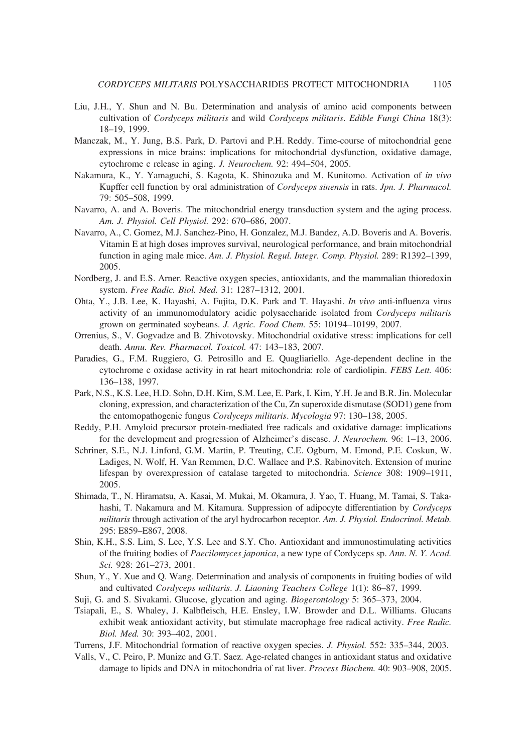- Liu, J.H., Y. Shun and N. Bu. Determination and analysis of amino acid components between cultivation of Cordyceps militaris and wild Cordyceps militaris. Edible Fungi China 18(3): 18–19, 1999.
- Manczak, M., Y. Jung, B.S. Park, D. Partovi and P.H. Reddy. Time-course of mitochondrial gene expressions in mice brains: implications for mitochondrial dysfunction, oxidative damage, cytochrome c release in aging. J. Neurochem. 92: 494–504, 2005.
- Nakamura, K., Y. Yamaguchi, S. Kagota, K. Shinozuka and M. Kunitomo. Activation of in vivo Kupffer cell function by oral administration of Cordyceps sinensis in rats. Jpn. J. Pharmacol. 79: 505–508, 1999.
- Navarro, A. and A. Boveris. The mitochondrial energy transduction system and the aging process. Am. J. Physiol. Cell Physiol. 292: 670–686, 2007.
- Navarro, A., C. Gomez, M.J. Sanchez-Pino, H. Gonzalez, M.J. Bandez, A.D. Boveris and A. Boveris. Vitamin E at high doses improves survival, neurological performance, and brain mitochondrial function in aging male mice. Am. J. Physiol. Regul. Integr. Comp. Physiol. 289: R1392-1399, 2005.
- Nordberg, J. and E.S. Arner. Reactive oxygen species, antioxidants, and the mammalian thioredoxin system. Free Radic. Biol. Med. 31: 1287–1312, 2001.
- Ohta, Y., J.B. Lee, K. Hayashi, A. Fujita, D.K. Park and T. Hayashi. In vivo anti-influenza virus activity of an immunomodulatory acidic polysaccharide isolated from Cordyceps militaris grown on germinated soybeans. J. Agric. Food Chem. 55: 10194–10199, 2007.
- Orrenius, S., V. Gogvadze and B. Zhivotovsky. Mitochondrial oxidative stress: implications for cell death. Annu. Rev. Pharmacol. Toxicol. 47: 143–183, 2007.
- Paradies, G., F.M. Ruggiero, G. Petrosillo and E. Quagliariello. Age-dependent decline in the cytochrome c oxidase activity in rat heart mitochondria: role of cardiolipin. FEBS Lett. 406: 136–138, 1997.
- Park, N.S., K.S. Lee, H.D. Sohn, D.H. Kim, S.M. Lee, E. Park, I. Kim, Y.H. Je and B.R. Jin. Molecular cloning, expression, and characterization of the Cu, Zn superoxide dismutase (SOD1) gene from the entomopathogenic fungus Cordyceps militaris. Mycologia 97: 130–138, 2005.
- Reddy, P.H. Amyloid precursor protein-mediated free radicals and oxidative damage: implications for the development and progression of Alzheimer's disease. J. Neurochem. 96: 1–13, 2006.
- Schriner, S.E., N.J. Linford, G.M. Martin, P. Treuting, C.E. Ogburn, M. Emond, P.E. Coskun, W. Ladiges, N. Wolf, H. Van Remmen, D.C. Wallace and P.S. Rabinovitch. Extension of murine lifespan by overexpression of catalase targeted to mitochondria. Science 308: 1909–1911, 2005.
- Shimada, T., N. Hiramatsu, A. Kasai, M. Mukai, M. Okamura, J. Yao, T. Huang, M. Tamai, S. Takahashi, T. Nakamura and M. Kitamura. Suppression of adipocyte differentiation by Cordyceps militaris through activation of the aryl hydrocarbon receptor. Am. J. Physiol. Endocrinol. Metab. 295: E859–E867, 2008.
- Shin, K.H., S.S. Lim, S. Lee, Y.S. Lee and S.Y. Cho. Antioxidant and immunostimulating activities of the fruiting bodies of Paecilomyces japonica, a new type of Cordyceps sp. Ann. N. Y. Acad. Sci. 928: 261–273, 2001.
- Shun, Y., Y. Xue and Q. Wang. Determination and analysis of components in fruiting bodies of wild and cultivated Cordyceps militaris. J. Liaoning Teachers College 1(1): 86–87, 1999.
- Suji, G. and S. Sivakami. Glucose, glycation and aging. Biogerontology 5: 365–373, 2004.
- Tsiapali, E., S. Whaley, J. Kalbfleisch, H.E. Ensley, I.W. Browder and D.L. Williams. Glucans exhibit weak antioxidant activity, but stimulate macrophage free radical activity. Free Radic. Biol. Med. 30: 393–402, 2001.
- Turrens, J.F. Mitochondrial formation of reactive oxygen species. J. Physiol. 552: 335–344, 2003.
- Valls, V., C. Peiro, P. Munizc and G.T. Saez. Age-related changes in antioxidant status and oxidative damage to lipids and DNA in mitochondria of rat liver. Process Biochem. 40: 903–908, 2005.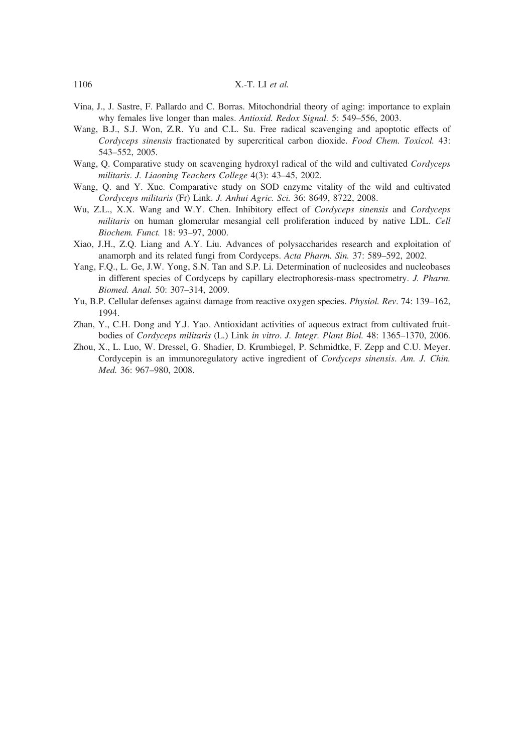#### 1106 X.-T. LI et al.

- Vina, J., J. Sastre, F. Pallardo and C. Borras. Mitochondrial theory of aging: importance to explain why females live longer than males. Antioxid. Redox Signal. 5: 549–556, 2003.
- Wang, B.J., S.J. Won, Z.R. Yu and C.L. Su. Free radical scavenging and apoptotic effects of Cordyceps sinensis fractionated by supercritical carbon dioxide. Food Chem. Toxicol. 43: 543–552, 2005.
- Wang, Q. Comparative study on scavenging hydroxyl radical of the wild and cultivated Cordyceps militaris. J. Liaoning Teachers College 4(3): 43–45, 2002.
- Wang, Q. and Y. Xue. Comparative study on SOD enzyme vitality of the wild and cultivated Cordyceps militaris (Fr) Link. J. Anhui Agric. Sci. 36: 8649, 8722, 2008.
- Wu, Z.L., X.X. Wang and W.Y. Chen. Inhibitory effect of Cordyceps sinensis and Cordyceps militaris on human glomerular mesangial cell proliferation induced by native LDL. Cell Biochem. Funct. 18: 93–97, 2000.
- Xiao, J.H., Z.Q. Liang and A.Y. Liu. Advances of polysaccharides research and exploitation of anamorph and its related fungi from Cordyceps. Acta Pharm. Sin. 37: 589–592, 2002.
- Yang, F.Q., L. Ge, J.W. Yong, S.N. Tan and S.P. Li. Determination of nucleosides and nucleobases in different species of Cordyceps by capillary electrophoresis-mass spectrometry. J. Pharm. Biomed. Anal. 50: 307–314, 2009.
- Yu, B.P. Cellular defenses against damage from reactive oxygen species. Physiol. Rev. 74: 139–162, 1994.
- Zhan, Y., C.H. Dong and Y.J. Yao. Antioxidant activities of aqueous extract from cultivated fruitbodies of Cordyceps militaris (L.) Link in vitro. J. Integr. Plant Biol. 48: 1365–1370, 2006.
- Zhou, X., L. Luo, W. Dressel, G. Shadier, D. Krumbiegel, P. Schmidtke, F. Zepp and C.U. Meyer. Cordycepin is an immunoregulatory active ingredient of Cordyceps sinensis. Am. J. Chin. Med. 36: 967–980, 2008.